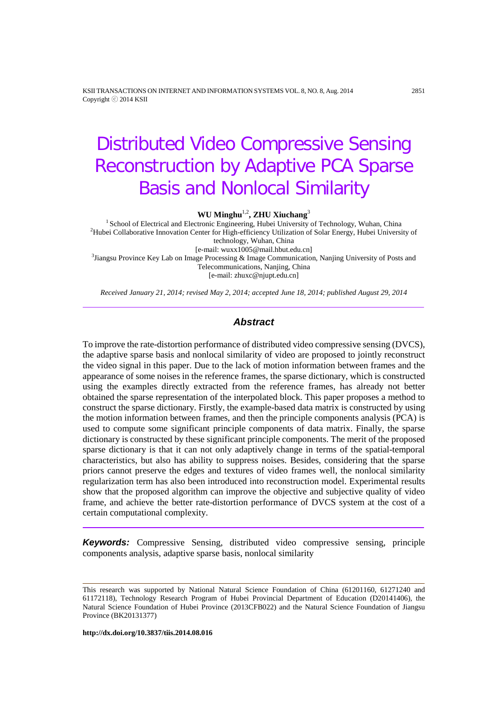KSII TRANSACTIONS ON INTERNET AND INFORMATION SYSTEMS VOL. 8, NO. 8, Aug. 2014 2851 Copyright ⓒ 2014 KSII

# Distributed Video Compressive Sensing Reconstruction by Adaptive PCA Sparse Basis and Nonlocal Similarity

**WU Minghu**1,2 **, ZHU Xiuchang**<sup>3</sup>

<sup>1</sup> School of Electrical and Electronic Engineering, Hubei University of Technology, Wuhan, China <sup>2</sup>Hubei Collaborative Innovation Center for High-efficiency Utilization of Solar Energy, Hubei University of technology, Wuhan, China<br>[e-mail: wuxx1005@mail.hbut.edu.cn] [e-mail: wuxx1005@mail.hbut.edu.cn] <sup>3</sup> Jiangsu Province Key Lab on Image Processing & Image Communication, Nanjing University of Posts and Telecommunications, Nanjing, China [e-mail[: zhuxc@njupt.edu.cn\]](mailto:t.m.chen@swansea.ac.uk)

*Received January 21, 2014; revised May 2, 2014; accepted June 18, 2014; published August 29, 2014*

### *Abstract*

To improve the rate-distortion performance of distributed video compressive sensing (DVCS), the adaptive sparse basis and nonlocal similarity of video are proposed to jointly reconstruct the video signal in this paper. Due to the lack of motion information between frames and the appearance of some noises in the reference frames, the sparse dictionary, which is constructed using the examples directly extracted from the reference frames, has already not better obtained the sparse representation of the interpolated block. This paper proposes a method to construct the sparse dictionary. Firstly, the example-based data matrix is constructed by using the motion information between frames, and then the principle components analysis (PCA) is used to compute some significant principle components of data matrix. Finally, the sparse dictionary is constructed by these significant principle components. The merit of the proposed sparse dictionary is that it can not only adaptively change in terms of the spatial-temporal characteristics, but also has ability to suppress noises. Besides, considering that the sparse priors cannot preserve the edges and textures of video frames well, the nonlocal similarity regularization term has also been introduced into reconstruction model. Experimental results show that the proposed algorithm can improve the objective and subjective quality of video frame, and achieve the better rate-distortion performance of DVCS system at the cost of a certain computational complexity.

*Keywords:* Compressive Sensing, distributed video compressive sensing, principle components analysis, adaptive sparse basis, nonlocal similarity

**http://dx.doi.org/10.3837/tiis.2014.08.016**

This research was supported by National Natural Science Foundation of China (61201160, 61271240 and 61172118), Technology Research Program of Hubei Provincial Department of Education (D20141406), the Natural Science Foundation of Hubei Province (2013CFB022) and the Natural Science Foundation of Jiangsu Province (BK20131377)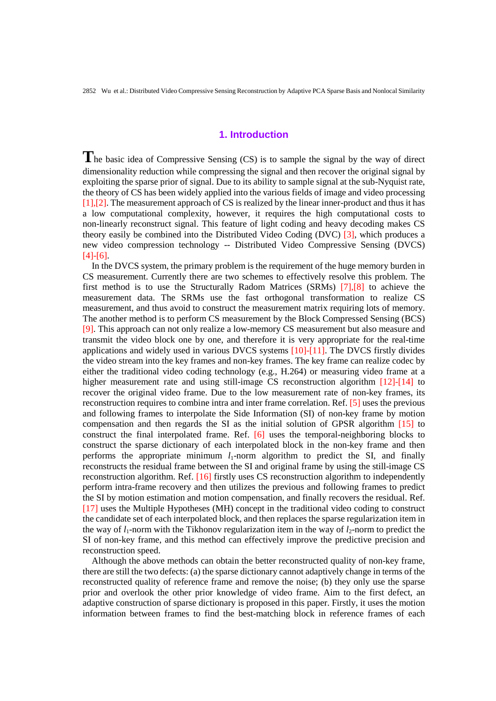## **1. Introduction**

**T**he basic idea of Compressive Sensing (CS) is to sample the signal by the way of direct dimensionality reduction while compressing the signal and then recover the original signal by exploiting the sparse prior of signal. Due to its ability to sample signal at the sub-Nyquist rate, the theory of CS has been widely applied into the various fields of image and video processing [1],[2]. The measurement approach of CS is realized by the linear inner-product and thus it has a low computational complexity, however, it requires the high computational costs to non-linearly reconstruct signal. This feature of light coding and heavy decoding makes CS theory easily be combined into the Distributed Video Coding (DVC) [3], which produces a new video compression technology -- Distributed Video Compressive Sensing (DVCS) [4]-[6].

In the DVCS system, the primary problem is the requirement of the huge memory burden in CS measurement. Currently there are two schemes to effectively resolve this problem. The first method is to use the Structurally Radom Matrices (SRMs) [7],[8] to achieve the measurement data. The SRMs use the fast orthogonal transformation to realize CS measurement, and thus avoid to construct the measurement matrix requiring lots of memory. The another method is to perform CS measurement by the Block Compressed Sensing (BCS) [9]. This approach can not only realize a low-memory CS measurement but also measure and transmit the video block one by one, and therefore it is very appropriate for the real-time applications and widely used in various DVCS systems [10]-[11]. The DVCS firstly divides the video stream into the key frames and non-key frames. The key frame can realize codec by either the traditional video coding technology (e.g., H.264) or measuring video frame at a higher measurement rate and using still-image CS reconstruction algorithm  $[12]$ -[14] to recover the original video frame. Due to the low measurement rate of non-key frames, its reconstruction requires to combine intra and inter frame correlation. Ref. [5] uses the previous and following frames to interpolate the Side Information (SI) of non-key frame by motion compensation and then regards the SI as the initial solution of GPSR algorithm [15] to construct the final interpolated frame. Ref. [6] uses the temporal-neighboring blocks to construct the sparse dictionary of each interpolated block in the non-key frame and then performs the appropriate minimum  $l_1$ -norm algorithm to predict the SI, and finally reconstructs the residual frame between the SI and original frame by using the still-image CS reconstruction algorithm. Ref. [16] firstly uses CS reconstruction algorithm to independently perform intra-frame recovery and then utilizes the previous and following frames to predict the SI by motion estimation and motion compensation, and finally recovers the residual. Ref. [17] uses the Multiple Hypotheses (MH) concept in the traditional video coding to construct the candidate set of each interpolated block, and then replaces the sparse regularization item in the way of  $l_1$ -norm with the Tikhonov regularization item in the way of  $l_2$ -norm to predict the SI of non-key frame, and this method can effectively improve the predictive precision and reconstruction speed.

Although the above methods can obtain the better reconstructed quality of non-key frame, there are still the two defects: (a) the sparse dictionary cannot adaptively change in terms of the reconstructed quality of reference frame and remove the noise; (b) they only use the sparse prior and overlook the other prior knowledge of video frame. Aim to the first defect, an adaptive construction of sparse dictionary is proposed in this paper. Firstly, it uses the motion information between frames to find the best-matching block in reference frames of each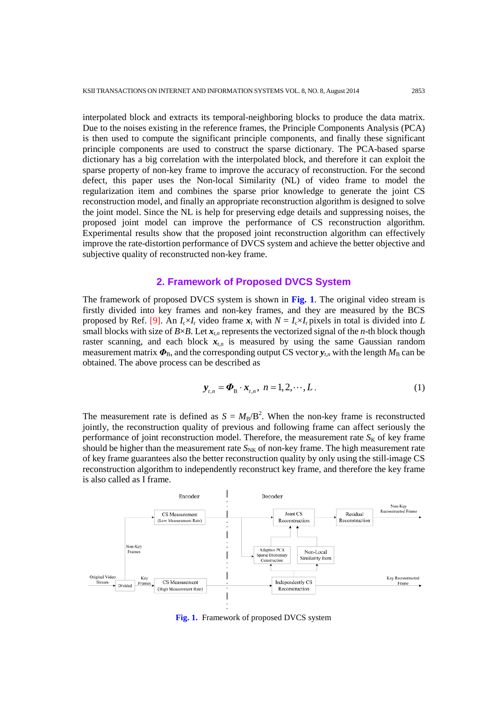interpolated block and extracts its temporal-neighboring blocks to produce the data matrix. Due to the noises existing in the reference frames, the Principle Components Analysis (PCA) is then used to compute the significant principle components, and finally these significant principle components are used to construct the sparse dictionary. The PCA-based sparse dictionary has a big correlation with the interpolated block, and therefore it can exploit the sparse property of non-key frame to improve the accuracy of reconstruction. For the second defect, this paper uses the Non-local Similarity (NL) of video frame to model the regularization item and combines the sparse prior knowledge to generate the joint CS reconstruction model, and finally an appropriate reconstruction algorithm is designed to solve the joint model. Since the NL is help for preserving edge details and suppressing noises, the proposed joint model can improve the performance of CS reconstruction algorithm. Experimental results show that the proposed joint reconstruction algorithm can effectively improve the rate-distortion performance of DVCS system and achieve the better objective and subjective quality of reconstructed non-key frame.

#### **2. Framework of Proposed DVCS System**

The framework of proposed DVCS system is shown in **Fig. 1**. The original video stream is firstly divided into key frames and non-key frames, and they are measured by the BCS proposed by Ref. [9]. An  $I_c \times I_r$  video frame  $x_t$  with  $N = I_c \times I_r$  pixels in total is divided into *L* small blocks with size of  $B \times B$ . Let  $x_{t,n}$  represents the vectorized signal of the *n*-th block though raster scanning, and each block  $x_{t,n}$  is measured by using the same Gaussian random measurement matrix  $\Phi_B$ , and the corresponding output CS vector  $y_{tn}$  with the length  $M_B$  can be obtained. The above process can be described as

$$
\mathbf{y}_{t,n} = \boldsymbol{\Phi}_{\mathbf{B}} \cdot \mathbf{x}_{t,n}, \; n = 1, 2, \cdots, L. \tag{1}
$$

The measurement rate is defined as  $S = M_B/B^2$ . When the non-key frame is reconstructed jointly, the reconstruction quality of previous and following frame can affect seriously the performance of joint reconstruction model. Therefore, the measurement rate  $S_K$  of key frame should be higher than the measurement rate  $S_{NK}$  of non-key frame. The high measurement rate of key frame guarantees also the better reconstruction quality by only using the still-image CS reconstruction algorithm to independently reconstruct key frame, and therefore the key frame is also called as I frame.



**Fig. 1.** Framework of proposed DVCS system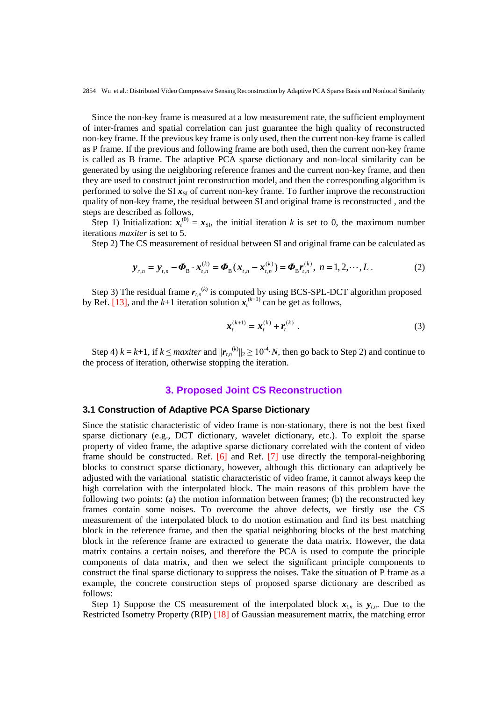Since the non-key frame is measured at a low measurement rate, the sufficient employment of inter-frames and spatial correlation can just guarantee the high quality of reconstructed non-key frame. If the previous key frame is only used, then the current non-key frame is called as P frame. If the previous and following frame are both used, then the current non-key frame is called as B frame. The adaptive PCA sparse dictionary and non-local similarity can be generated by using the neighboring reference frames and the current non-key frame, and then they are used to construct joint reconstruction model, and then the corresponding algorithm is performed to solve the SI  $x_{\rm SI}$  of current non-key frame. To further improve the reconstruction quality of non-key frame, the residual between SI and original frame is reconstructed , and the steps are described as follows,

Step 1) Initialization:  $x_t^{(0)} = x_{\text{SI}}$ , the initial iteration *k* is set to 0, the maximum number iterations *maxiter* is set to 5.

Step 2) The CS measurement of residual between SI and original frame can be calculated as

$$
\mathbf{y}_{r,n} = \mathbf{y}_{t,n} - \mathbf{\Phi}_{\text{B}} \cdot \mathbf{x}_{t,n}^{(k)} = \mathbf{\Phi}_{\text{B}} (\mathbf{x}_{t,n} - \mathbf{x}_{t,n}^{(k)}) = \mathbf{\Phi}_{\text{B}} \mathbf{r}_{t,n}^{(k)}, \ n = 1, 2, \cdots, L. \tag{2}
$$

Step 3) The residual frame  $r_{t,n}^{(k)}$  is computed by using BCS-SPL-DCT algorithm proposed by Ref. [13], and the  $k+1$  iteration solution  $x_t^{(k+1)}$  can be get as follows,

$$
\mathbf{x}_{t}^{(k+1)} = \mathbf{x}_{t}^{(k)} + \mathbf{r}_{t}^{(k)} \tag{3}
$$

Step 4)  $k = k+1$ , if  $k \leq$  *maxiter* and  $||r_{t,n}^{(k)}||_2 \geq 10^{-4}$ . *N*, then go back to Step 2) and continue to the process of iteration, otherwise stopping the iteration.

## **3. Proposed Joint CS Reconstruction**

#### **3.1 Construction of Adaptive PCA Sparse Dictionary**

Since the statistic characteristic of video frame is non-stationary, there is not the best fixed sparse dictionary (e.g., DCT dictionary, wavelet dictionary, etc.). To exploit the sparse property of video frame, the adaptive sparse dictionary correlated with the content of video frame should be constructed. Ref.  $[6]$  and Ref.  $[7]$  use directly the temporal-neighboring blocks to construct sparse dictionary, however, although this dictionary can adaptively be adjusted with the variational statistic characteristic of video frame, it cannot always keep the high correlation with the interpolated block. The main reasons of this problem have the following two points: (a) the motion information between frames; (b) the reconstructed key frames contain some noises. To overcome the above defects, we firstly use the CS measurement of the interpolated block to do motion estimation and find its best matching block in the reference frame, and then the spatial neighboring blocks of the best matching block in the reference frame are extracted to generate the data matrix. However, the data matrix contains a certain noises, and therefore the PCA is used to compute the principle components of data matrix, and then we select the significant principle components to construct the final sparse dictionary to suppress the noises. Take the situation of P frame as a example, the concrete construction steps of proposed sparse dictionary are described as follows:

Step 1) Suppose the CS measurement of the interpolated block  $x_{t,n}$  is  $y_{t,n}$ . Due to the Restricted Isometry Property (RIP) [18] of Gaussian measurement matrix, the matching error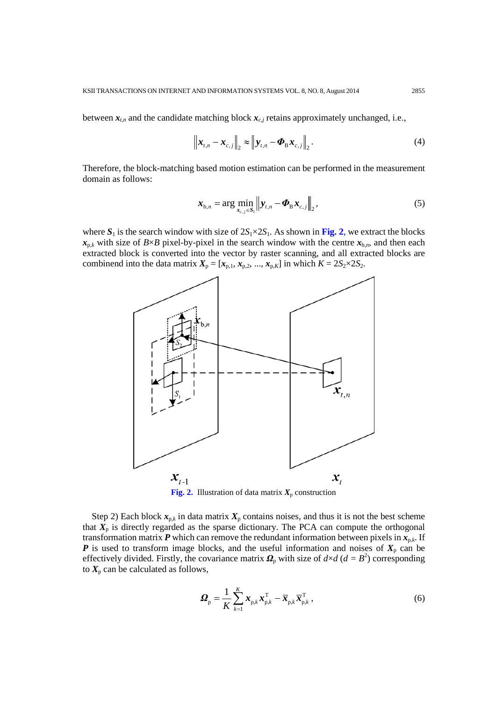between  $x_{t,n}$  and the candidate matching block  $x_{c,j}$  retains approximately unchanged, i.e.,

$$
\left\| \boldsymbol{x}_{t,n} - \boldsymbol{x}_{c,j} \right\|_2 \approx \left\| \boldsymbol{y}_{t,n} - \boldsymbol{\Phi}_{\mathrm{B}} \boldsymbol{x}_{c,j} \right\|_2.
$$
 (4)

Therefore, the block-matching based motion estimation can be performed in the measurement domain as follows:

$$
\boldsymbol{x}_{b,n} = \arg \min_{\boldsymbol{x}_{c,j} \in S_1} \left\| \boldsymbol{y}_{t,n} - \boldsymbol{\Phi}_{\mathrm{B}} \boldsymbol{x}_{c,j} \right\|_2, \tag{5}
$$

where  $S_1$  is the search window with size of  $2S_1 \times 2S_1$ . As shown in Fig. 2, we extract the blocks  $x_{p,k}$  with size of *B*×*B* pixel-by-pixel in the search window with the centre  $x_{b,n}$ , and then each extracted block is converted into the vector by raster scanning, and all extracted blocks are combinend into the data matrix  $X_p = [x_{p,1}, x_{p,2}, ..., x_{p,K}]$  in which  $K = 2S_2 \times 2S_2$ .



**Fig. 2.** Illustration of data matrix  $X_p$  construction

Step 2) Each block  $x_{p,k}$  in data matrix  $X_p$  contains noises, and thus it is not the best scheme that  $X_p$  is directly regarded as the sparse dictionary. The PCA can compute the orthogonal transformation matrix  $P$  which can remove the redundant information between pixels in  $x_{p,k}$ . If *P* is used to transform image blocks, and the useful information and noises of  $X_p$  can be effectively divided. Firstly, the covariance matrix  $\mathbf{\Omega}_{p}$  with size of  $d \times d$  ( $d = B^{2}$ ) corresponding to  $X_p$  can be calculated as follows,

$$
\boldsymbol{\Omega}_{\mathrm{p}} = \frac{1}{K} \sum_{k=1}^{K} \boldsymbol{x}_{\mathrm{p},k} \boldsymbol{x}_{\mathrm{p},k}^{\mathrm{T}} - \overline{\boldsymbol{x}}_{\mathrm{p},k} \overline{\boldsymbol{x}}_{\mathrm{p},k}^{\mathrm{T}} \,, \tag{6}
$$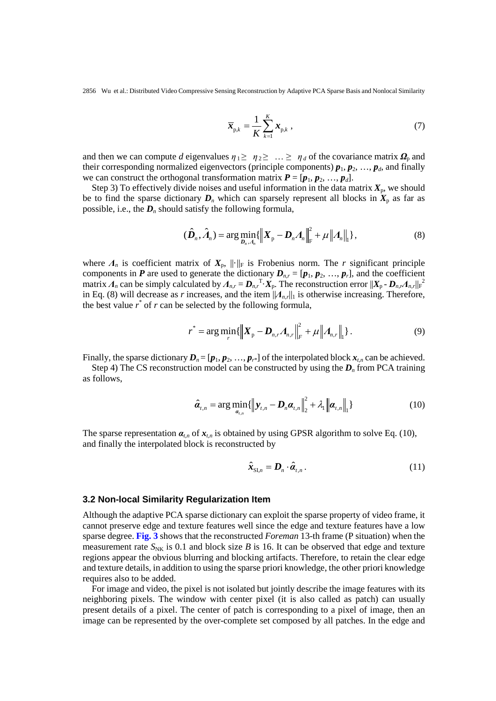$$
\overline{\boldsymbol{x}}_{p,k} = \frac{1}{K} \sum_{k=1}^{K} \boldsymbol{x}_{p,k} \tag{7}
$$

and then we can compute *d* eigenvalues  $\eta_1 \geq \eta_2 \geq \ldots \geq \eta_d$  of the covariance matrix  $\Omega_p$  and their corresponding normalized eigenvectors (principle components)  $p_1, p_2, ..., p_d$ , and finally we can construct the orthogonal transformation matrix  $P = [p_1, p_2, ..., p_d]$ .

Step 3) To effectively divide noises and useful information in the data matrix  $X_p$ , we should be to find the sparse dictionary  $D_n$  which can sparsely represent all blocks in  $X_p$  as far as possible, i.e., the  $D_n$  should satisfy the following formula,

$$
(\hat{\boldsymbol{D}}_n, \hat{\boldsymbol{A}}_n) = \arg\min_{\boldsymbol{D}_n, \boldsymbol{A}_n} \{ \left\| \boldsymbol{X}_p - \boldsymbol{D}_n \boldsymbol{A}_n \right\|_F^2 + \mu \left\| \boldsymbol{A}_n \right\|_1 \},\tag{8}
$$

where  $\Lambda_n$  is coefficient matrix of  $X_p$ ,  $\|\cdot\|_F$  is Frobenius norm. The *r* significant principle components in *P* are used to generate the dictionary  $D_{n,r} = [p_1, p_2, ..., p_r]$ , and the coefficient matrix  $A_n$  can be simply calculated by  $A_{n,r} = D_{n,r}^T \cdot X_p$ . The reconstruction error  $||X_p - D_{n,r} A_{n,r}||_F^2$ in Eq. (8) will decrease as *r* increases, and the item  $||A_{n,r}||_1$  is otherwise increasing. Therefore, the best value  $r^*$  of  $r$  can be selected by the following formula,

$$
r^* = \arg\min_{r} \{ \left\| \boldsymbol{X}_{\mathrm{p}} - \boldsymbol{D}_{n,r} \boldsymbol{A}_{n,r} \right\|_{F}^{2} + \mu \left\| \boldsymbol{A}_{n,r} \right\|_{1} \}.
$$
 (9)

Finally, the sparse dictionary  $D_n = [p_1, p_2, ..., p_{r^*}]$  of the interpolated block  $x_{t,n}$  can be achieved.

Step 4) The CS reconstruction model can be constructed by using the  $D<sub>n</sub>$  from PCA training as follows,

$$
\hat{\boldsymbol{a}}_{t,n} = \arg \min_{\boldsymbol{a}_{t,n}} \{ \left\| \boldsymbol{y}_{t,n} - \boldsymbol{D}_n \boldsymbol{\alpha}_{t,n} \right\|_2^2 + \lambda_1 \left\| \boldsymbol{\alpha}_{t,n} \right\|_1 \} \tag{10}
$$

The sparse representation  $a_{t,n}$  of  $x_{t,n}$  is obtained by using GPSR algorithm to solve Eq. (10), and finally the interpolated block is reconstructed by

$$
\hat{\boldsymbol{x}}_{\text{SI},n} = \boldsymbol{D}_n \cdot \hat{\boldsymbol{a}}_{t,n} \,. \tag{11}
$$

#### **3.2 Non-local Similarity Regularization Item**

Although the adaptive PCA sparse dictionary can exploit the sparse property of video frame, it cannot preserve edge and texture features well since the edge and texture features have a low sparse degree. **Fig. 3** shows that the reconstructed *Foreman* 13-th frame (P situation) when the measurement rate  $S_{NK}$  is 0.1 and block size *B* is 16. It can be observed that edge and texture regions appear the obvious blurring and blocking artifacts. Therefore, to retain the clear edge and texture details, in addition to using the sparse priori knowledge, the other priori knowledge requires also to be added.

For image and video, the pixel is not isolated but jointly describe the image features with its neighboring pixels. The window with center pixel (it is also called as patch) can usually present details of a pixel. The center of patch is corresponding to a pixel of image, then an image can be represented by the over-complete set composed by all patches. In the edge and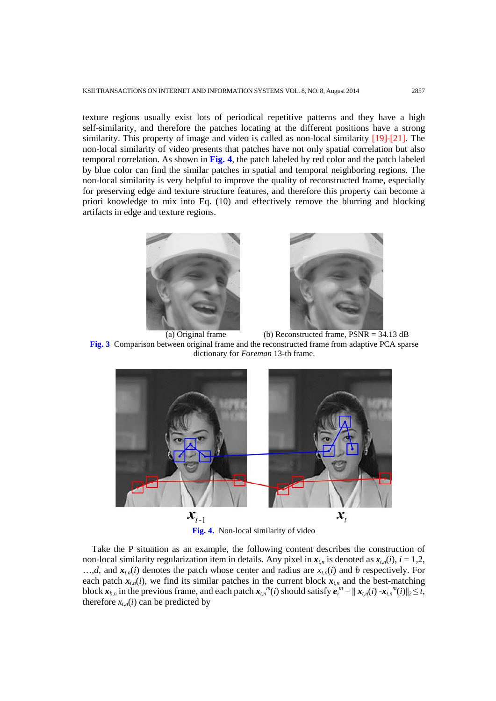texture regions usually exist lots of periodical repetitive patterns and they have a high self-similarity, and therefore the patches locating at the different positions have a strong similarity. This property of image and video is called as non-local similarity [19]-[21]. The non-local similarity of video presents that patches have not only spatial correlation but also temporal correlation. As shown in **Fig. 4**, the patch labeled by red color and the patch labeled by blue color can find the similar patches in spatial and temporal neighboring regions. The non-local similarity is very helpful to improve the quality of reconstructed frame, especially for preserving edge and texture structure features, and therefore this property can become a priori knowledge to mix into Eq. (10) and effectively remove the blurring and blocking artifacts in edge and texture regions.





(a) Original frame (b) Reconstructed frame,  $PSNR = 34.13$  dB **Fig. 3** Comparison between original frame and the reconstructed frame from adaptive PCA sparse dictionary for *Foreman* 13-th frame.



**Fig. 4.** Non-local similarity of video

Take the P situation as an example, the following content describes the construction of non-local similarity regularization item in details. Any pixel in  $x_{t,n}$  is denoted as  $x_{t,n}(i)$ ,  $i = 1,2$ ,  $..., d$ , and  $x_{t,n}(i)$  denotes the patch whose center and radius are  $x_{t,n}(i)$  and *b* respectively. For each patch  $x_{t,n}(i)$ , we find its similar patches in the current block  $x_{t,n}$  and the best-matching block  $x_{b,n}$  in the previous frame, and each patch  $x_{t,n}^{m}(i)$  should satisfy  $e_i^{m} = ||x_{t,n}(i) - x_{t,n}^{m}(i)||_2 \leq t$ , therefore  $x_{t,n}(i)$  can be predicted by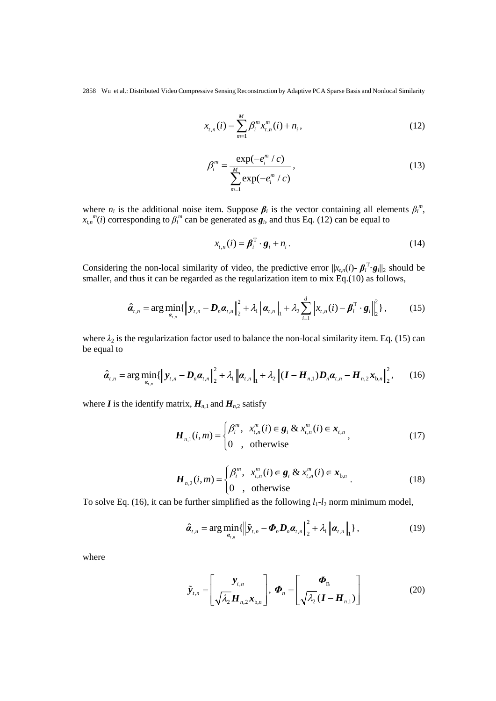$$
x_{t,n}(i) = \sum_{m=1}^{M} \beta_i^m x_{t,n}^m(i) + n_i,
$$
\n(12)

$$
\beta_i^m = \frac{\exp(-e_i^m / c)}{\sum_{m=1}^M \exp(-e_i^m / c)},
$$
\n(13)

where  $n_i$  is the additional noise item. Suppose  $\beta_i$  is the vector containing all elements  $\beta_i^m$ ,  $x_{t,n}$ <sup>*m*</sup>(*i*) corresponding to  $\beta_i$ <sup>*m*</sup> can be generated as  $g_i$ , and thus Eq. (12) can be equal to

$$
x_{t,n}(i) = \boldsymbol{\beta}_i^{\mathrm{T}} \cdot \boldsymbol{g}_i + n_i. \tag{14}
$$

Considering the non-local similarity of video, the predictive error  $||x_{t,n}(i) - \beta_i^T \cdot g_i||_2$  should be smaller, and thus it can be regarded as the regularization item to mix Eq.(10) as follows,

$$
\hat{\boldsymbol{a}}_{t,n} = \arg \min_{\boldsymbol{a}_{t,n}} \{ \left\| \boldsymbol{y}_{t,n} - \boldsymbol{D}_n \boldsymbol{\alpha}_{t,n} \right\|_2^2 + \lambda_1 \left\| \boldsymbol{\alpha}_{t,n} \right\|_1 + \lambda_2 \sum_{i=1}^d \left\| x_{t,n}(i) - \boldsymbol{\beta}_i^{\mathrm{T}} \cdot \boldsymbol{g}_i \right\|_2^2 \},\tag{15}
$$

where  $\lambda_2$  is the regularization factor used to balance the non-local similarity item. Eq. (15) can be equal to

$$
\hat{\boldsymbol{a}}_{t,n} = \arg \min_{\boldsymbol{a}_{t,n}} \{ \left\| \boldsymbol{y}_{t,n} - \boldsymbol{D}_n \boldsymbol{\alpha}_{t,n} \right\|_2^2 + \lambda_1 \left\| \boldsymbol{\alpha}_{t,n} \right\|_1 + \lambda_2 \left\| (\boldsymbol{I} - \boldsymbol{H}_{n,1}) \boldsymbol{D}_n \boldsymbol{\alpha}_{t,n} - \boldsymbol{H}_{n,2} \boldsymbol{x}_{b,n} \right\|_2^2, \qquad (16)
$$

where *I* is the identify matrix,  $H_{n,1}$  and  $H_{n,2}$  satisfy

$$
\boldsymbol{H}_{n,1}(i,m) = \begin{cases} \beta_i^m, & x_{t,n}^m(i) \in \boldsymbol{g}_i \& x_{t,n}^m(i) \in \boldsymbol{x}_{t,n} \\ 0, & \text{otherwise} \end{cases}
$$
 (17)

$$
\boldsymbol{H}_{n,2}(i,m) = \begin{cases} \beta_i^m, & x_{i,n}^m(i) \in \mathbf{g}_i \& x_{i,n}^m(i) \in \mathbf{x}_{b,n} \\ 0, & \text{otherwise} \end{cases} \tag{18}
$$

To solve Eq. (16), it can be further simplified as the following  $l_1$ - $l_2$  norm minimum model,

$$
\hat{\boldsymbol{\alpha}}_{t,n} = \arg \min_{\boldsymbol{\alpha}_{t,n}} \{ \left\| \tilde{\mathbf{y}}_{t,n} - \boldsymbol{\Phi}_n \boldsymbol{D}_n \boldsymbol{\alpha}_{t,n} \right\|_2^2 + \lambda_1 \left\| \boldsymbol{\alpha}_{t,n} \right\|_1 \}, \qquad (19)
$$

where

$$
\widetilde{\mathbf{y}}_{t,n} = \begin{bmatrix} \mathbf{y}_{t,n} \\ \sqrt{\lambda_2} \mathbf{H}_{n,2} \mathbf{x}_{b,n} \end{bmatrix}, \boldsymbol{\varPhi}_n = \begin{bmatrix} \boldsymbol{\varPhi}_B \\ \sqrt{\lambda_2} (\mathbf{I} - \mathbf{H}_{n,1}) \end{bmatrix}
$$
(20)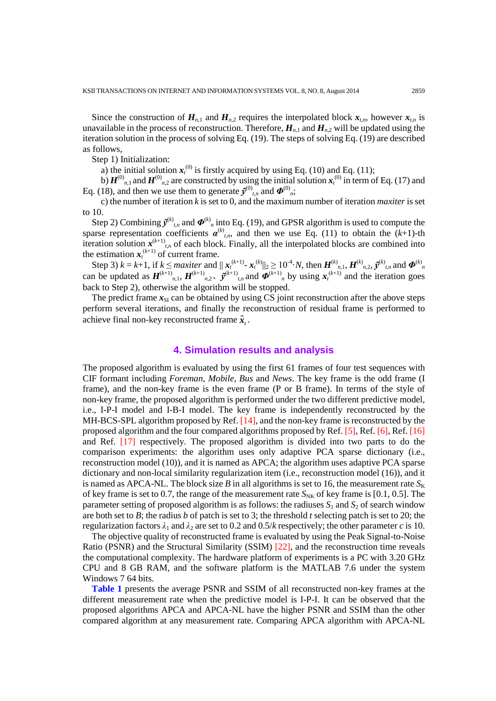Since the construction of  $H_{n,1}$  and  $H_{n,2}$  requires the interpolated block  $x_{t,n}$ , however  $x_{t,n}$  is unavailable in the process of reconstruction. Therefore,  $H_{n,1}$  and  $H_{n,2}$  will be updated using the iteration solution in the process of solving Eq. (19). The steps of solving Eq. (19) are described as follows,

Step 1) Initialization:

a) the initial solution  $x_t^{(0)}$  is firstly acquired by using Eq. (10) and Eq. (11);

b)  $H^{(0)}_{n,1}$  and  $H^{(0)}_{n,2}$  are constructed by using the initial solution  $x_t^{(0)}$  in term of Eq. (17) and Eq. (18), and then we use them to generate  $\tilde{\mathbf{y}}^{(0)}_{t,n}$  and  $\mathbf{\Phi}^{(0)}_{n}$ ;

c) the number of iteration *k* is set to 0, and the maximum number of iteration *maxiter* is set to 10.

Step 2) Combining  $\tilde{\mathbf{y}}^{(k)}$ ,*n* and  $\boldsymbol{\Phi}^{(k)}$ *n* into Eq. (19), and GPSR algorithm is used to compute the sparse representation coefficients  $\alpha^{(k)}_{t,n}$ , and then we use Eq. (11) to obtain the  $(k+1)$ -th iteration solution  $x^{(k+1)}$ , *the* each block. Finally, all the interpolated blocks are combined into the estimation  $x_t^{(k+1)}$  of current frame.

Step 3)  $k = k+1$ , if  $k \le$  *maxiter* and  $||x_t^{(k+1)} - x_t^{(k)}||_2 \ge 10^{-4} \cdot N$ , then  $H^{(k)}_{n,1}$ ,  $H^{(k)}_{n,2}$ ,  $\tilde{y}^{(k)}_{n,n}$  and  $\Phi^{(k)}_{n,n}$  can be updated as  $H^{(k+1)}_{n,1}$ ,  $H^{(k+1)}_{n,2}$ ,  $\tilde{y}^{(k+1)}_{n,n}$  and  $\Phi^{(k+$ back to Step 2), otherwise the algorithm will be stopped.

The predict frame  $x_{\rm SI}$  can be obtained by using CS joint reconstruction after the above steps perform several iterations, and finally the reconstruction of residual frame is performed to achieve final non-key reconstructed frame  $\hat{x}$ .

## **4. Simulation results and analysis**

The proposed algorithm is evaluated by using the first 61 frames of four test sequences with CIF formant including *Foreman*, *Mobile*, *Bus* and *News*. The key frame is the odd frame (I frame), and the non-key frame is the even frame (P or B frame). In terms of the style of non-key frame, the proposed algorithm is performed under the two different predictive model, i.e., I-P-I model and I-B-I model. The key frame is independently reconstructed by the MH-BCS-SPL algorithm proposed by Ref. [14], and the non-key frame is reconstructed by the proposed algorithm and the four compared algorithms proposed by Ref. [5], Ref. [6], Ref. [16] and Ref. [17] respectively. The proposed algorithm is divided into two parts to do the comparison experiments: the algorithm uses only adaptive PCA sparse dictionary (i.e., reconstruction model (10)), and it is named as APCA; the algorithm uses adaptive PCA sparse dictionary and non-local similarity regularization item (i.e., reconstruction model (16)), and it is named as APCA-NL. The block size *B* in all algorithms is set to 16, the measurement rate  $S_K$ of key frame is set to 0.7, the range of the measurement rate  $S_{NK}$  of key frame is [0.1, 0.5]. The parameter setting of proposed algorithm is as follows: the radiuses  $S_1$  and  $S_2$  of search window are both set to *B*; the radius *b* of patch is set to 3; the threshold *t* selecting patch is set to 20; the regularization factors  $\lambda_1$  and  $\lambda_2$  are set to 0.2 and 0.5/*k* respectively; the other parameter *c* is 10.

The objective quality of reconstructed frame is evaluated by using the Peak Signal-to-Noise Ratio (PSNR) and the Structural Similarity (SSIM) [22], and the reconstruction time reveals the computational complexity. The hardware platform of experiments is a PC with 3.20 GHz CPU and 8 GB RAM, and the software platform is the MATLAB 7.6 under the system Windows 7 64 bits.

**Table 1** presents the average PSNR and SSIM of all reconstructed non-key frames at the different measurement rate when the predictive model is I-P-I. It can be observed that the proposed algorithms APCA and APCA-NL have the higher PSNR and SSIM than the other compared algorithm at any measurement rate. Comparing APCA algorithm with APCA-NL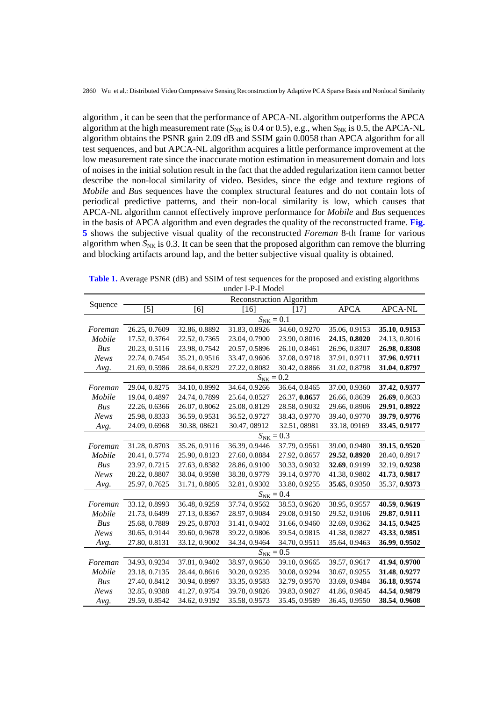algorithm , it can be seen that the performance of APCA-NL algorithm outperforms the APCA algorithm at the high measurement rate ( $S_{NK}$  is 0.4 or 0.5), e.g., when  $S_{NK}$  is 0.5, the APCA-NL algorithm obtains the PSNR gain 2.09 dB and SSIM gain 0.0058 than APCA algorithm for all test sequences, and but APCA-NL algorithm acquires a little performance improvement at the low measurement rate since the inaccurate motion estimation in measurement domain and lots of noises in the initial solution result in the fact that the added regularization item cannot better describe the non-local similarity of video. Besides, since the edge and texture regions of *Mobile* and *Bus* sequences have the complex structural features and do not contain lots of periodical predictive patterns, and their non-local similarity is low, which causes that APCA-NL algorithm cannot effectively improve performance for *Mobile* and *Bus* sequences in the basis of APCA algorithm and even degrades the quality of the reconstructed frame. **Fig. 5** shows the subjective visual quality of the reconstructed *Foreman* 8-th frame for various algorithm when  $S_{NK}$  is 0.3. It can be seen that the proposed algorithm can remove the blurring and blocking artifacts around lap, and the better subjective visual quality is obtained.

| Squence     | <b>Reconstruction Algorithm</b> |               |               |               |               |                |  |
|-------------|---------------------------------|---------------|---------------|---------------|---------------|----------------|--|
|             | [5]                             | [6]           | [16]          | [17]          | <b>APCA</b>   | <b>APCA-NL</b> |  |
|             | $S_{\text{NK}} = 0.1$           |               |               |               |               |                |  |
| Foreman     | 26.25, 0.7609                   | 32.86, 0.8892 | 31.83, 0.8926 | 34.60, 0.9270 | 35.06, 0.9153 | 35.10, 0.9153  |  |
| Mobile      | 17.52, 0.3764                   | 22.52, 0.7365 | 23.04, 0.7900 | 23.90, 0.8016 | 24.15, 0.8020 | 24.13, 0.8016  |  |
| Bus         | 20.23, 0.5116                   | 23.98, 0.7542 | 20.57, 0.5896 | 26.10, 0.8461 | 26.96, 0.8307 | 26.98, 0.8308  |  |
| <b>News</b> | 22.74, 0.7454                   | 35.21, 0.9516 | 33.47, 0.9606 | 37.08, 0.9718 | 37.91, 0.9711 | 37.96, 0.9711  |  |
| Avg.        | 21.69, 0.5986                   | 28.64, 0.8329 | 27.22, 0.8082 | 30.42, 0.8866 | 31.02, 0.8798 | 31.04, 0.8797  |  |
|             | $S_{\text{NK}} = 0.2$           |               |               |               |               |                |  |
| Foreman     | 29.04, 0.8275                   | 34.10, 0.8992 | 34.64, 0.9266 | 36.64, 0.8465 | 37.00, 0.9360 | 37.42, 0.9377  |  |
| Mobile      | 19.04, 0.4897                   | 24.74, 0.7899 | 25.64, 0.8527 | 26.37, 0.8657 | 26.66, 0.8639 | 26.69, 0.8633  |  |
| Bus         | 22.26, 0.6366                   | 26.07, 0.8062 | 25.08, 0.8129 | 28.58, 0.9032 | 29.66, 0.8906 | 29.91, 0.8922  |  |
| News        | 25.98, 0.8333                   | 36.59, 0.9531 | 36.52, 0.9727 | 38.43, 0.9770 | 39.40, 0.9770 | 39.79, 0.9776  |  |
| Avg.        | 24.09, 0.6968                   | 30.38, 08621  | 30.47, 08912  | 32.51,08981   | 33.18, 09169  | 33.45, 0.9177  |  |
|             | $S_{\text{NK}} = 0.3$           |               |               |               |               |                |  |
| Foreman     | 31.28, 0.8703                   | 35.26, 0.9116 | 36.39, 0.9446 | 37.79, 0.9561 | 39.00, 0.9480 | 39.15, 0.9520  |  |
| Mobile      | 20.41, 0.5774                   | 25.90, 0.8123 | 27.60, 0.8884 | 27.92, 0.8657 | 29.52, 0.8920 | 28.40, 0.8917  |  |
| Bus         | 23.97, 0.7215                   | 27.63, 0.8382 | 28.86, 0.9100 | 30.33, 0.9032 | 32.69, 0.9199 | 32.19, 0.9238  |  |
| <b>News</b> | 28.22, 0.8807                   | 38.04, 0.9598 | 38.38, 0.9779 | 39.14, 0.9770 | 41.38, 0.9802 | 41.73, 0.9817  |  |
| Avg.        | 25.97, 0.7625                   | 31.71, 0.8805 | 32.81, 0.9302 | 33.80, 0.9255 | 35.65, 0.9350 | 35.37, 0.9373  |  |
|             | $S_{\rm NK}=0.4$                |               |               |               |               |                |  |
| Foreman     | 33.12, 0.8993                   | 36.48, 0.9259 | 37.74, 0.9562 | 38.53, 0.9620 | 38.95, 0.9557 | 40.59, 0.9619  |  |
| Mobile      | 21.73, 0.6499                   | 27.13, 0.8367 | 28.97, 0.9084 | 29.08, 0.9150 | 29.52, 0.9106 | 29.87, 0.9111  |  |
| Bus         | 25.68, 0.7889                   | 29.25, 0.8703 | 31.41, 0.9402 | 31.66, 0.9460 | 32.69, 0.9362 | 34.15, 0.9425  |  |
| <b>News</b> | 30.65, 0.9144                   | 39.60, 0.9678 | 39.22, 0.9806 | 39.54, 0.9815 | 41.38, 0.9827 | 43.33, 0.9851  |  |
| Avg.        | 27.80, 0.8131                   | 33.12, 0.9002 | 34.34, 0.9464 | 34.70, 0.9511 | 35.64, 0.9463 | 36.99, 0.9502  |  |
|             | $S_{NK} = 0.5$                  |               |               |               |               |                |  |
| Foreman     | 34.93, 0.9234                   | 37.81, 0.9402 | 38.97, 0.9650 | 39.10, 0.9665 | 39.57, 0.9617 | 41.94, 0.9700  |  |
| Mobile      | 23.18, 0.7135                   | 28.44, 0.8616 | 30.20, 0.9235 | 30.08, 0.9294 | 30.67, 0.9255 | 31.48, 0.9277  |  |
| Bus         | 27.40, 0.8412                   | 30.94, 0.8997 | 33.35, 0.9583 | 32.79, 0.9570 | 33.69, 0.9484 | 36.18, 0.9574  |  |
| <b>News</b> | 32.85, 0.9388                   | 41.27, 0.9754 | 39.78, 0.9826 | 39.83, 0.9827 | 41.86, 0.9845 | 44.54, 0.9879  |  |
| Avg.        | 29.59, 0.8542                   | 34.62, 0.9192 | 35.58, 0.9573 | 35.45, 0.9589 | 36.45, 0.9550 | 38.54, 0.9608  |  |

**Table 1.** Average PSNR (dB) and SSIM of test sequences for the proposed and existing algorithms under I-P-I Model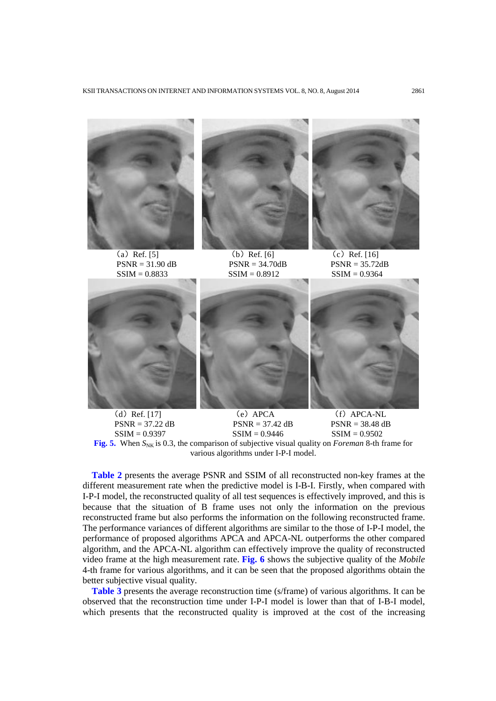



PSNR = 31.90 dB PSNR = 34.70dB PSNR = 35.72d<br>SSIM = 0.8833 SSIM = 0.8912 SSIM = 0.9364  $SSIM = 0.8912$ 



(a) Ref. [5] (b) Ref. [6] (c) Ref. [16]<br>PSNR = 31.90 dB PSNR = 34.70dB PSNR = 35.72dB





(d) Ref. [17] (e) APCA (f) APCA-NL<br>PSNR = 37.22 dB PSNR = 37.42 dB PSNR = 38.48 dB



**Fig.** 5. When  $S_{NK}$  is 0.3, the comparison of subjective visual quality on *Foreman* 8-th frame for various algorithms under I-P-I model.

**Table 2** presents the average PSNR and SSIM of all reconstructed non-key frames at the different measurement rate when the predictive model is I-B-I. Firstly, when compared with I-P-I model, the reconstructed quality of all test sequences is effectively improved, and this is because that the situation of B frame uses not only the information on the previous reconstructed frame but also performs the information on the following reconstructed frame. The performance variances of different algorithms are similar to the those of I-P-I model, the performance of proposed algorithms APCA and APCA-NL outperforms the other compared algorithm, and the APCA-NL algorithm can effectively improve the quality of reconstructed video frame at the high measurement rate. **Fig. 6** shows the subjective quality of the *Mobile*  4-th frame for various algorithms, and it can be seen that the proposed algorithms obtain the better subjective visual quality.

**Table 3** presents the average reconstruction time (s/frame) of various algorithms. It can be observed that the reconstruction time under I-P-I model is lower than that of I-B-I model, which presents that the reconstructed quality is improved at the cost of the increasing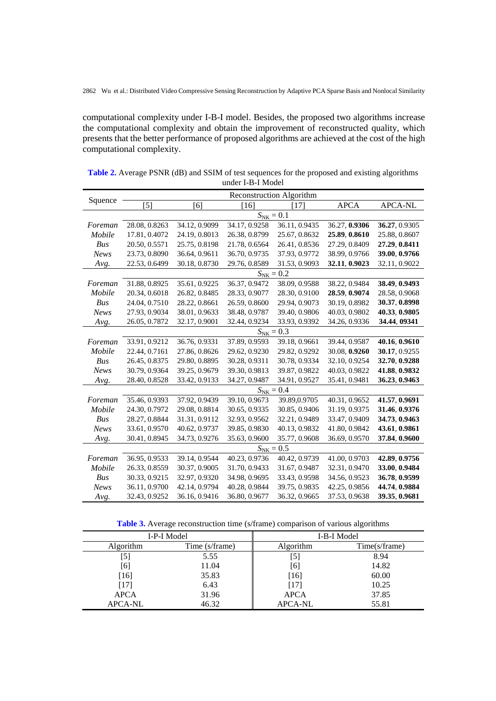computational complexity under I-B-I model. Besides, the proposed two algorithms increase the computational complexity and obtain the improvement of reconstructed quality, which presents that the better performance of proposed algorithms are achieved at the cost of the high computational complexity.

|             | Reconstruction Algorithm |               |               |               |               |                |  |
|-------------|--------------------------|---------------|---------------|---------------|---------------|----------------|--|
| Squence     | $[5]$                    | [6]           | [16]          | [17]          | <b>APCA</b>   | <b>APCA-NL</b> |  |
|             | $S_{\text{NK}} = 0.1$    |               |               |               |               |                |  |
| Foreman     | 28.08, 0.8263            | 34.12, 0.9099 | 34.17, 0.9258 | 36.11, 0.9435 | 36.27, 0.9306 | 36.27, 0.9305  |  |
| Mobile      | 17.81, 0.4072            | 24.19, 0.8013 | 26.38, 0.8799 | 25.67, 0.8632 | 25.89, 0.8610 | 25.88, 0.8607  |  |
| Bus         | 20.50, 0.5571            | 25.75, 0.8198 | 21.78, 0.6564 | 26.41, 0.8536 | 27.29, 0.8409 | 27.29, 0.8411  |  |
| <b>News</b> | 23.73, 0.8090            | 36.64, 0.9611 | 36.70, 0.9735 | 37.93, 0.9772 | 38.99, 0.9766 | 39.00, 0.9766  |  |
| Avg.        | 22.53, 0.6499            | 30.18, 0.8730 | 29.76, 0.8589 | 31.53, 0.9093 | 32.11, 0.9023 | 32.11, 0.9022  |  |
|             | $S_{\text{NK}} = 0.2$    |               |               |               |               |                |  |
| Foreman     | 31.88, 0.8925            | 35.61, 0.9225 | 36.37, 0.9472 | 38.09, 0.9588 | 38.22, 0.9484 | 38.49, 0.9493  |  |
| Mobile      | 20.34, 0.6018            | 26.82, 0.8485 | 28.33, 0.9077 | 28.30, 0.9100 | 28.59, 0.9074 | 28.58, 0.9068  |  |
| Bus         | 24.04, 0.7510            | 28.22, 0.8661 | 26.59, 0.8600 | 29.94, 0.9073 | 30.19, 0.8982 | 30.37, 0.8998  |  |
| <b>News</b> | 27.93, 0.9034            | 38.01, 0.9633 | 38.48, 0.9787 | 39.40, 0.9806 | 40.03, 0.9802 | 40.33, 0.9805  |  |
| Avg.        | 26.05, 0.7872            | 32.17, 0.9001 | 32.44, 0.9234 | 33.93, 0.9392 | 34.26, 0.9336 | 34.44, 09341   |  |
|             | $S_{\text{NK}} = 0.3$    |               |               |               |               |                |  |
| Foreman     | 33.91, 0.9212            | 36.76, 0.9331 | 37.89, 0.9593 | 39.18, 0.9661 | 39.44, 0.9587 | 40.16, 0.9610  |  |
| Mobile      | 22.44, 0.7161            | 27.86, 0.8626 | 29.62, 0.9230 | 29.82, 0.9292 | 30.08, 0.9260 | 30.17, 0.9255  |  |
| Bus         | 26.45, 0.8375            | 29.80, 0.8895 | 30.28, 0.9311 | 30.78, 0.9334 | 32.10, 0.9254 | 32.70, 0.9288  |  |
| <b>News</b> | 30.79, 0.9364            | 39.25, 0.9679 | 39.30, 0.9813 | 39.87, 0.9822 | 40.03, 0.9822 | 41.88, 0.9832  |  |
| Avg.        | 28.40, 0.8528            | 33.42, 0.9133 | 34.27, 0.9487 | 34.91, 0.9527 | 35.41, 0.9481 | 36.23, 0.9463  |  |
|             | $S_{\text{NK}} = 0.4$    |               |               |               |               |                |  |
| Foreman     | 35.46, 0.9393            | 37.92, 0.9439 | 39.10, 0.9673 | 39.89,0.9705  | 40.31, 0.9652 | 41.57, 0.9691  |  |
| Mobile      | 24.30, 0.7972            | 29.08, 0.8814 | 30.65, 0.9335 | 30.85, 0.9406 | 31.19, 0.9375 | 31.46, 0.9376  |  |
| Bus         | 28.27, 0.8844            | 31.31, 0.9112 | 32.93, 0.9562 | 32.21, 0.9489 | 33.47, 0.9409 | 34.73, 0.9463  |  |
| <b>News</b> | 33.61, 0.9570            | 40.62, 0.9737 | 39.85, 0.9830 | 40.13, 0.9832 | 41.80, 0.9842 | 43.61, 0.9861  |  |
| Avg.        | 30.41, 0.8945            | 34.73, 0.9276 | 35.63, 0.9600 | 35.77, 0.9608 | 36.69, 0.9570 | 37.84, 0.9600  |  |
|             | $S_{\text{NK}} = 0.5$    |               |               |               |               |                |  |
| Foreman     | 36.95, 0.9533            | 39.14, 0.9544 | 40.23, 0.9736 | 40.42, 0.9739 | 41.00, 0.9703 | 42.89, 0.9756  |  |
| Mobile      | 26.33, 0.8559            | 30.37, 0.9005 | 31.70, 0.9433 | 31.67, 0.9487 | 32.31, 0.9470 | 33.00, 0.9484  |  |
| Bus         | 30.33, 0.9215            | 32.97, 0.9320 | 34.98, 0.9695 | 33.43, 0.9598 | 34.56, 0.9523 | 36.78, 0.9599  |  |
| <b>News</b> | 36.11, 0.9700            | 42.14, 0.9794 | 40.28, 0.9844 | 39.75, 0.9835 | 42.25, 0.9856 | 44.74, 0.9884  |  |
| Avg.        | 32.43, 0.9252            | 36.16, 0.9416 | 36.80, 0.9677 | 36.32, 0.9665 | 37.53, 0.9638 | 39.35, 0.9681  |  |

**Table 2.** Average PSNR (dB) and SSIM of test sequences for the proposed and existing algorithms under I-B-I Model

**Table 3.** Average reconstruction time (s/frame) comparison of various algorithms

|                | I-P-I Model    | I-B-I Model    |               |  |
|----------------|----------------|----------------|---------------|--|
| Algorithm      | Time (s/frame) | Algorithm      | Time(s/frame) |  |
| [5]            | 5.55           | [5]            | 8.94          |  |
| [6]            | 11.04          | [6]            | 14.82         |  |
| $[16]$         | 35.83          | $[16]$         | 60.00         |  |
| [17]           | 6.43           | [17]           | 10.25         |  |
| <b>APCA</b>    | 31.96          | <b>APCA</b>    | 37.85         |  |
| <b>APCA-NL</b> | 46.32          | <b>APCA-NL</b> | 55.81         |  |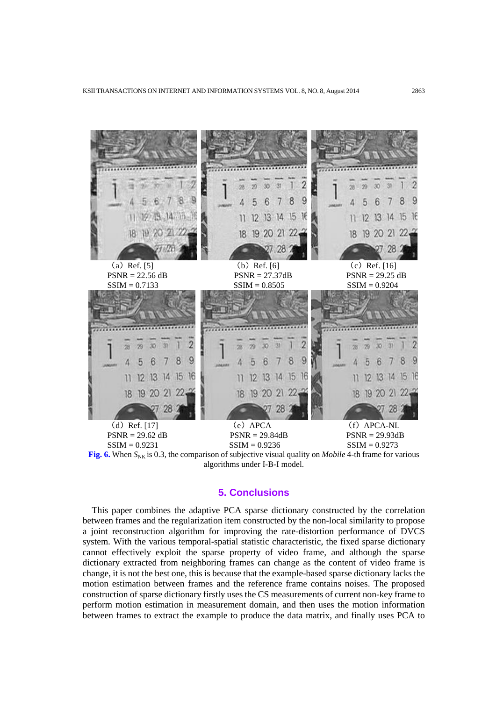

**Fig. 6.** When  $S_{NK}$  is 0.3, the comparison of subjective visual quality on *Mobile* 4-th frame for various algorithms under I-B-I model.

## **5. Conclusions**

This paper combines the adaptive PCA sparse dictionary constructed by the correlation between frames and the regularization item constructed by the non-local similarity to propose a joint reconstruction algorithm for improving the rate-distortion performance of DVCS system. With the various temporal-spatial statistic characteristic, the fixed sparse dictionary cannot effectively exploit the sparse property of video frame, and although the sparse dictionary extracted from neighboring frames can change as the content of video frame is change, it is not the best one, this is because that the example-based sparse dictionary lacks the motion estimation between frames and the reference frame contains noises. The proposed construction of sparse dictionary firstly uses the CS measurements of current non-key frame to perform motion estimation in measurement domain, and then uses the motion information between frames to extract the example to produce the data matrix, and finally uses PCA to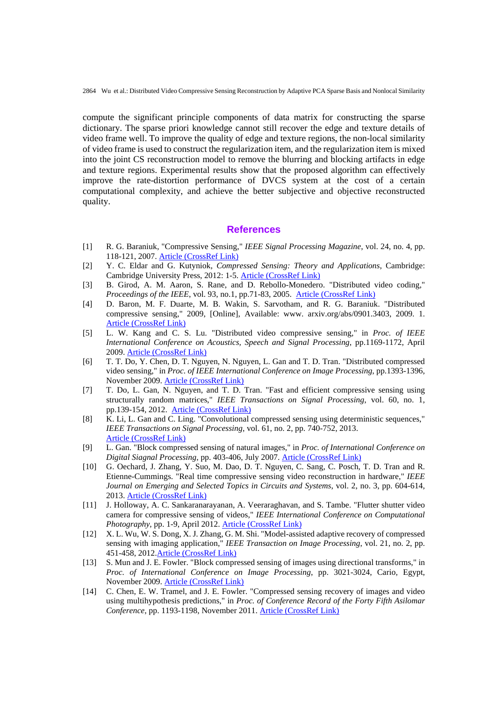compute the significant principle components of data matrix for constructing the sparse dictionary. The sparse priori knowledge cannot still recover the edge and texture details of video frame well. To improve the quality of edge and texture regions, the non-local similarity of video frame is used to construct the regularization item, and the regularization item is mixed into the joint CS reconstruction model to remove the blurring and blocking artifacts in edge and texture regions. Experimental results show that the proposed algorithm can effectively improve the rate-distortion performance of DVCS system at the cost of a certain computational complexity, and achieve the better subjective and objective reconstructed quality.

#### **References**

- [1] R. G. Baraniuk, "Compressive Sensing," *IEEE Signal Processing Magazine*, vol. 24, no. 4, pp. 118-121, 2007. [Article \(CrossRef Link\)](http://dx.doi.org/10.1109/MSP.2007.4286571)
- [2] Y. C. Eldar and G. Kutyniok, *Compressed Sensing: Theory and Applications*, Cambridge: Cambridge University Press, 2012: 1-5. [Article \(CrossRef Link\)](http://dx.doi.org/10.1017/CBO9780511794308)
- [3] B. Girod, A. M. Aaron, S. Rane, and D. Rebollo-Monedero. "Distributed video coding," *Proceedings of the IEEE*, vol. 93, no.1, pp.71-83, 2005. [Article \(CrossRef Link\)](http://dx.doi.org/10.1109/JPROC.2004.839619)
- [4] D. Baron, M. F. Duarte, M. B. Wakin, S. Sarvotham, and R. G. Baraniuk. "Distributed compressive sensing," 2009, [Online], Available: www. arxiv.org/abs/0901.3403, 2009. 1. [Article \(CrossRef Link\)](http://www.arxiv.org/abs/0901.3403)
- [5] L. W. Kang and C. S. Lu. "Distributed video compressive sensing," in *Proc. of IEEE International Conference on Acoustics, Speech and Signal Processing*, pp.1169-1172, April 2009. [Article \(CrossRef Link\)](http://ieeexplore.ieee.org/xpl/articleDetails.jsp?tp=&arnumber=4959797&refinements%3D4281048379%26queryText%3DDistributed+video+compressive+sensing)
- [6] T. T. Do, Y. Chen, D. T. Nguyen, N. Nguyen, L. Gan and T. D. Tran. "Distributed compressed video sensing," in *Proc. of IEEE International Conference on Image Processing*, pp.1393-1396, November 2009. [Article \(CrossRef Link\)](http://ieeexplore.ieee.org/xpl/articleDetails.jsp?tp=&arnumber=5054678&refinements%3D4280891201%26queryText%3DDistributed+compressed+video+sensing)
- [7] T. Do, L. Gan, N. Nguyen, and T. D. Tran. "Fast and efficient compressive sensing using structurally random matrices," *IEEE Transactions on Signal Processing*, vol. 60, no. 1, pp.139-154, 2012. [Article \(CrossRef Link\)](http://dx.doi.org/10.1109/TSP.2011.2170977)
- [8] K. Li, L. Gan and C. Ling. "Convolutional compressed sensing using deterministic sequences," *IEEE Transactions on Signal Processing*, vol. 61, no. 2, pp. 740-752, 2013. [Article \(CrossRef Link\)](http://dx.doi.org/10.1109/TSP.2012.2229994)
- [9] L. Gan. "Block compressed sensing of natural images," in *Proc. of International Conference on Digital Siagnal Processing*, pp. 403-406, July 2007. [Article \(CrossRef Link\)](http://ieeexplore.ieee.org/xpl/articleDetails.jsp?tp=&arnumber=4288604&queryText%3DBlock+compressed+sensing+of+natural+images)
- [10] G. Oechard, J. Zhang, Y. Suo, M. Dao, D. T. Nguyen, C. Sang, C. Posch, T. D. Tran and R. Etienne-Cummings. "Real time compressive sensing video reconstruction in hardware," *IEEE Journal on Emerging and Selected Topics in Circuits and Systems*, vol. 2, no. 3, pp. 604-614, 2013. [Article \(CrossRef Link\)](http://dx.doi.org/10.1109/JETCAS.2012.2214614)
- [11] J. Holloway, A. C. Sankaranarayanan, A. Veeraraghavan, and S. Tambe. "Flutter shutter video camera for compressive sensing of videos," *IEEE International Conference on Computational Photography*, pp. 1-9, April 2012. [Article \(CrossRef Link\)](http://ieeexplore.ieee.org/xpl/articleDetails.jsp?tp=&arnumber=6215211&queryText%3DFlutter+shutter+video+camera+for+compressive+sensing+of+videos)
- [12] X. L. Wu, W. S. Dong, X. J. Zhang, G. M. Shi. "Model-assisted adaptive recovery of compressed sensing with imaging application," *IEEE Transaction on Image Processing*, vol. 21, no. 2, pp. 451-458, 2012[.Article \(CrossRef Link\)](http://dx.doi.org/10.1109/TIP.2011.2163520)
- [13] S. Mun and J. E. Fowler. "Block compressed sensing of images using directional transforms," in *Proc. of International Conference on Image Processing*, pp. 3021-3024, Cario, Egypt, November 2009. [Article \(CrossRef Link\)](http://ieeexplore.ieee.org/xpl/articleDetails.jsp?tp=&arnumber=5453522&queryText%3DBlock+compressed+sensing+of+images+using+directional+transforms)
- [14] C. Chen, E. W. Tramel, and J. E. Fowler. "Compressed sensing recovery of images and video using multihypothesis predictions," in *Proc. of Conference Record of the Forty Fifth Asilomar Conference*, pp. 1193-1198, November 2011. [Article \(CrossRef Link\)](http://ieeexplore.ieee.org/xpl/articleDetails.jsp?tp=&arnumber=6190204&queryText%3DCompressed+sensing+recovery+of+images+and+video+using+multihypothesis+predictions)